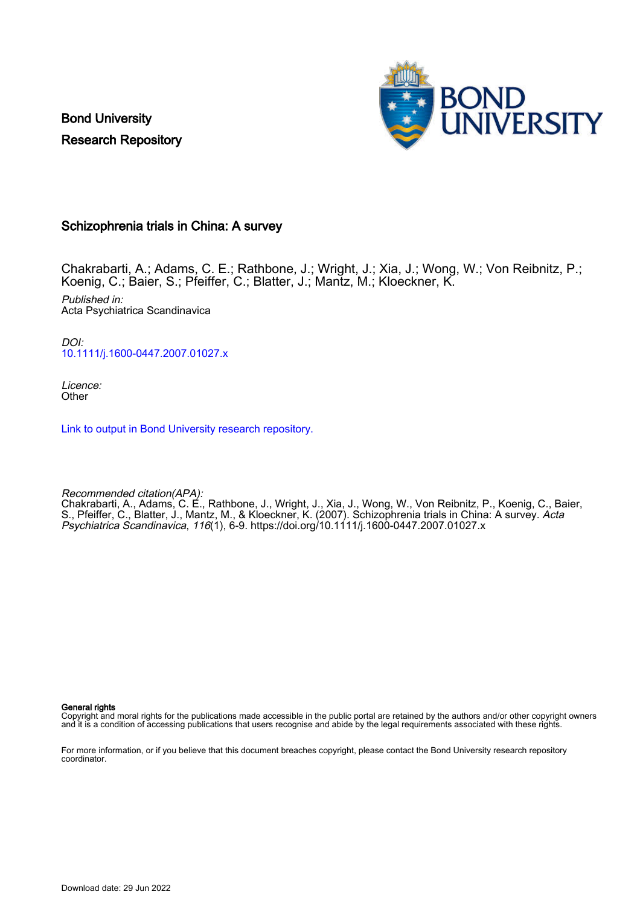Bond University Research Repository



#### Schizophrenia trials in China: A survey

Chakrabarti, A.; Adams, C. E.; Rathbone, J.; Wright, J.; Xia, J.; Wong, W.; Von Reibnitz, P.; Koenig, C.; Baier, S.; Pfeiffer, C.; Blatter, J.; Mantz, M.; Kloeckner, K.

Published in: Acta Psychiatrica Scandinavica

DOI: [10.1111/j.1600-0447.2007.01027.x](https://doi.org/10.1111/j.1600-0447.2007.01027.x)

Licence: **Other** 

[Link to output in Bond University research repository.](https://research.bond.edu.au/en/publications/8cc7aa7f-757d-4ab6-aea3-0e3824987a9e)

Recommended citation(APA):

Chakrabarti, A., Adams, C. E., Rathbone, J., Wright, J., Xia, J., Wong, W., Von Reibnitz, P., Koenig, C., Baier, S., Pfeiffer, C., Blatter, J., Mantz, M., & Kloeckner, K. (2007). Schizophrenia trials in China: A survey. *Acta* Psychiatrica Scandinavica, 116(1), 6-9.<https://doi.org/10.1111/j.1600-0447.2007.01027.x>

General rights

Copyright and moral rights for the publications made accessible in the public portal are retained by the authors and/or other copyright owners and it is a condition of accessing publications that users recognise and abide by the legal requirements associated with these rights.

For more information, or if you believe that this document breaches copyright, please contact the Bond University research repository coordinator.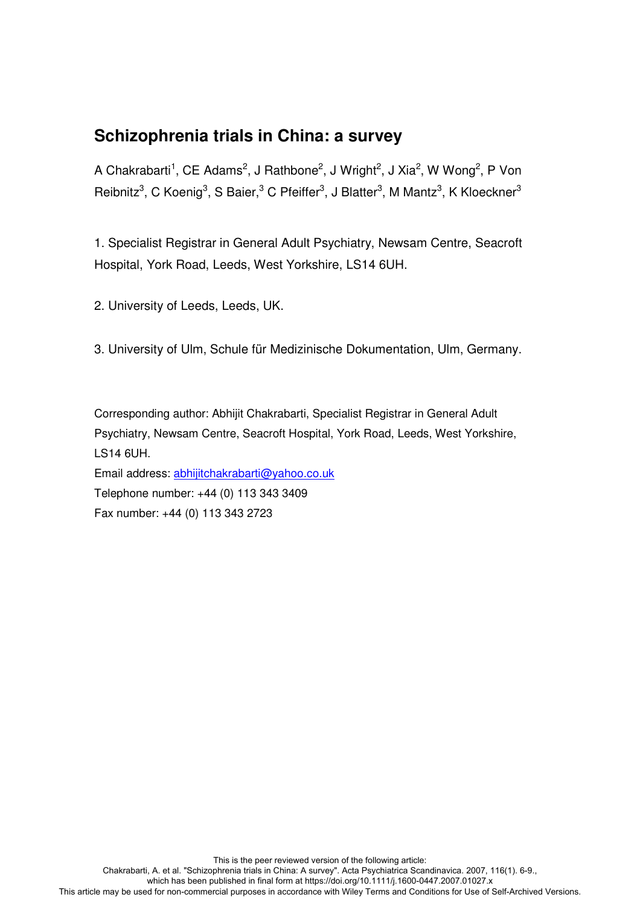## **Schizophrenia trials in China: a survey**

A Chakrabarti<sup>1</sup>, CE Adams<sup>2</sup>, J Rathbone<sup>2</sup>, J Wright<sup>2</sup>, J Xia<sup>2</sup>, W Wong<sup>2</sup>, P Von Reibnitz<sup>3</sup>, C Koenig<sup>3</sup>, S Baier,<sup>3</sup> C Pfeiffer<sup>3</sup>, J Blatter<sup>3</sup>, M Mantz<sup>3</sup>, K Kloeckner<sup>3</sup>

1. Specialist Registrar in General Adult Psychiatry, Newsam Centre, Seacroft Hospital, York Road, Leeds, West Yorkshire, LS14 6UH.

2. University of Leeds, Leeds, UK.

3. University of Ulm, Schule für Medizinische Dokumentation, Ulm, Germany.

Corresponding author: Abhijit Chakrabarti, Specialist Registrar in General Adult Psychiatry, Newsam Centre, Seacroft Hospital, York Road, Leeds, West Yorkshire, LS14 6UH.

Email address: abhijitchakrabarti@yahoo.co.uk Telephone number: +44 (0) 113 343 3409 Fax number: +44 (0) 113 343 2723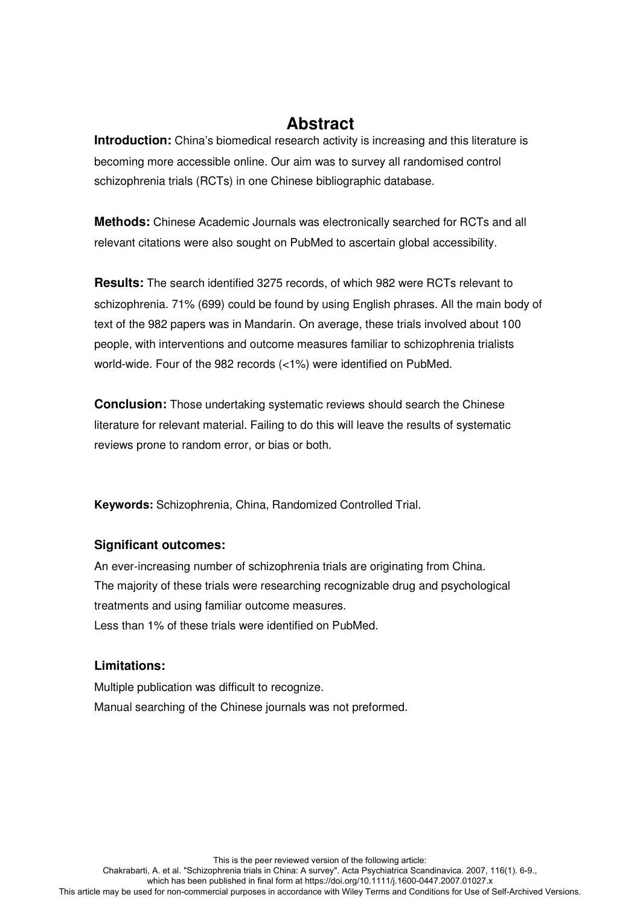## **Abstract**

**Introduction:** China's biomedical research activity is increasing and this literature is becoming more accessible online. Our aim was to survey all randomised control schizophrenia trials (RCTs) in one Chinese bibliographic database.

**Methods:** Chinese Academic Journals was electronically searched for RCTs and all relevant citations were also sought on PubMed to ascertain global accessibility.

**Results:** The search identified 3275 records, of which 982 were RCTs relevant to schizophrenia. 71% (699) could be found by using English phrases. All the main body of text of the 982 papers was in Mandarin. On average, these trials involved about 100 people, with interventions and outcome measures familiar to schizophrenia trialists world-wide. Four of the 982 records (<1%) were identified on PubMed.

**Conclusion:** Those undertaking systematic reviews should search the Chinese literature for relevant material. Failing to do this will leave the results of systematic reviews prone to random error, or bias or both.

**Keywords:** Schizophrenia, China, Randomized Controlled Trial.

#### **Significant outcomes:**

An ever-increasing number of schizophrenia trials are originating from China. The majority of these trials were researching recognizable drug and psychological treatments and using familiar outcome measures. Less than 1% of these trials were identified on PubMed.

#### **Limitations:**

Multiple publication was difficult to recognize. Manual searching of the Chinese journals was not preformed.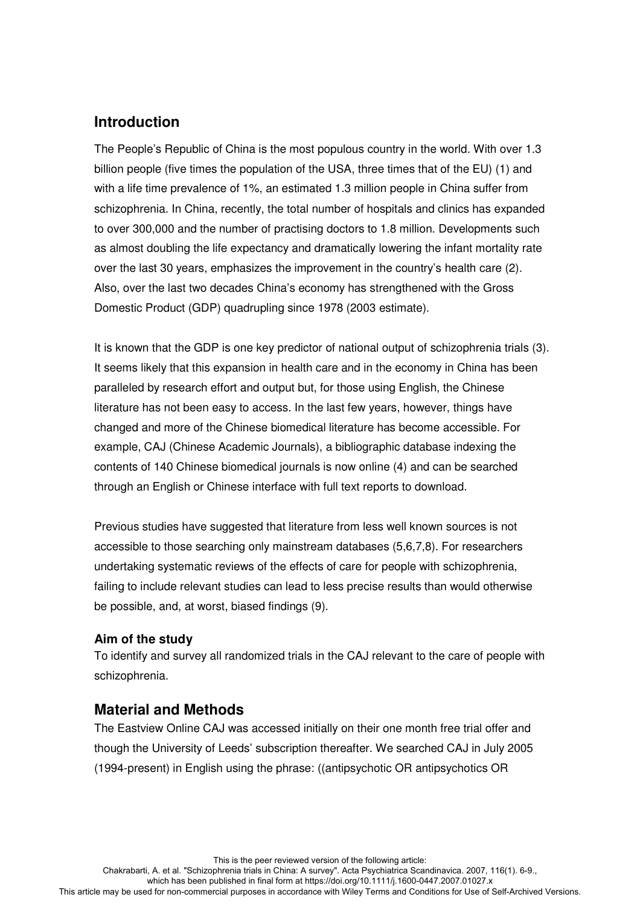### **Introduction**

The People's Republic of China is the most populous country in the world. With over 1.3 billion people (five times the population of the USA, three times that of the EU) (1) and with a life time prevalence of 1%, an estimated 1.3 million people in China suffer from schizophrenia. In China, recently, the total number of hospitals and clinics has expanded to over 300,000 and the number of practising doctors to 1.8 million. Developments such as almost doubling the life expectancy and dramatically lowering the infant mortality rate over the last 30 years, emphasizes the improvement in the country's health care (2). Also, over the last two decades China's economy has strengthened with the Gross Domestic Product (GDP) quadrupling since 1978 (2003 estimate).

It is known that the GDP is one key predictor of national output of schizophrenia trials (3). It seems likely that this expansion in health care and in the economy in China has been paralleled by research effort and output but, for those using English, the Chinese literature has not been easy to access. In the last few years, however, things have changed and more of the Chinese biomedical literature has become accessible. For example, CAJ (Chinese Academic Journals), a bibliographic database indexing the contents of 140 Chinese biomedical journals is now online (4) and can be searched through an English or Chinese interface with full text reports to download.

Previous studies have suggested that literature from less well known sources is not accessible to those searching only mainstream databases (5,6,7,8). For researchers undertaking systematic reviews of the effects of care for people with schizophrenia, failing to include relevant studies can lead to less precise results than would otherwise be possible, and, at worst, biased findings (9).

#### **Aim of the study**

To identify and survey all randomized trials in the CAJ relevant to the care of people with schizophrenia.

### **Material and Methods**

The Eastview Online CAJ was accessed initially on their one month free trial offer and though the University of Leeds' subscription thereafter. We searched CAJ in July 2005 (1994-present) in English using the phrase: ((antipsychotic OR antipsychotics OR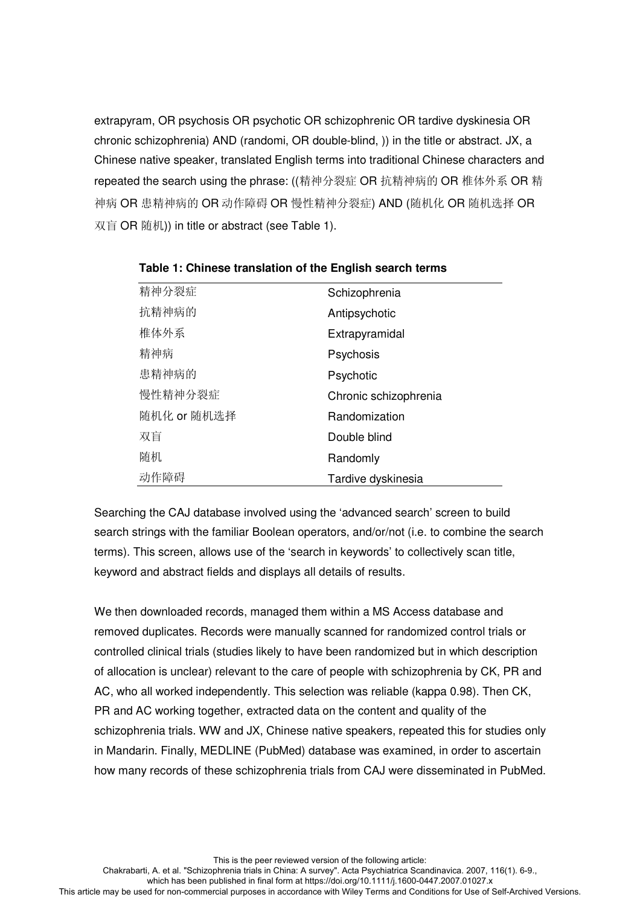extrapyram, OR psychosis OR psychotic OR schizophrenic OR tardive dyskinesia OR chronic schizophrenia) AND (randomi, OR double-blind, )) in the title or abstract. JX, a Chinese native speaker, translated English terms into traditional Chinese characters and repeated the search using the phrase: ((精神分裂症 OR 抗精神病的 OR 椎体外系 OR 精 神病 OR 患精神病的 OR 动作障碍 OR 慢性精神分裂症) AND (随机化 OR 随机选择 OR 双盲 OR 随机)) in title or abstract (see Table 1).

| 精神分裂症       | Schizophrenia         |
|-------------|-----------------------|
| 抗精神病的       | Antipsychotic         |
| 椎体外系        | Extrapyramidal        |
| 精神病         | Psychosis             |
| 患精神病的       | Psychotic             |
| 慢性精神分裂症     | Chronic schizophrenia |
| 随机化 or 随机选择 | Randomization         |
| 双盲          | Double blind          |
| 随机          | Randomly              |
| 动作障碍        | Tardive dyskinesia    |

**Table 1: Chinese translation of the English search terms**

Searching the CAJ database involved using the 'advanced search' screen to build search strings with the familiar Boolean operators, and/or/not (i.e. to combine the search terms). This screen, allows use of the 'search in keywords' to collectively scan title, keyword and abstract fields and displays all details of results.

We then downloaded records, managed them within a MS Access database and removed duplicates. Records were manually scanned for randomized control trials or controlled clinical trials (studies likely to have been randomized but in which description of allocation is unclear) relevant to the care of people with schizophrenia by CK, PR and AC, who all worked independently. This selection was reliable (kappa 0.98). Then CK, PR and AC working together, extracted data on the content and quality of the schizophrenia trials. WW and JX, Chinese native speakers, repeated this for studies only in Mandarin. Finally, MEDLINE (PubMed) database was examined, in order to ascertain how many records of these schizophrenia trials from CAJ were disseminated in PubMed.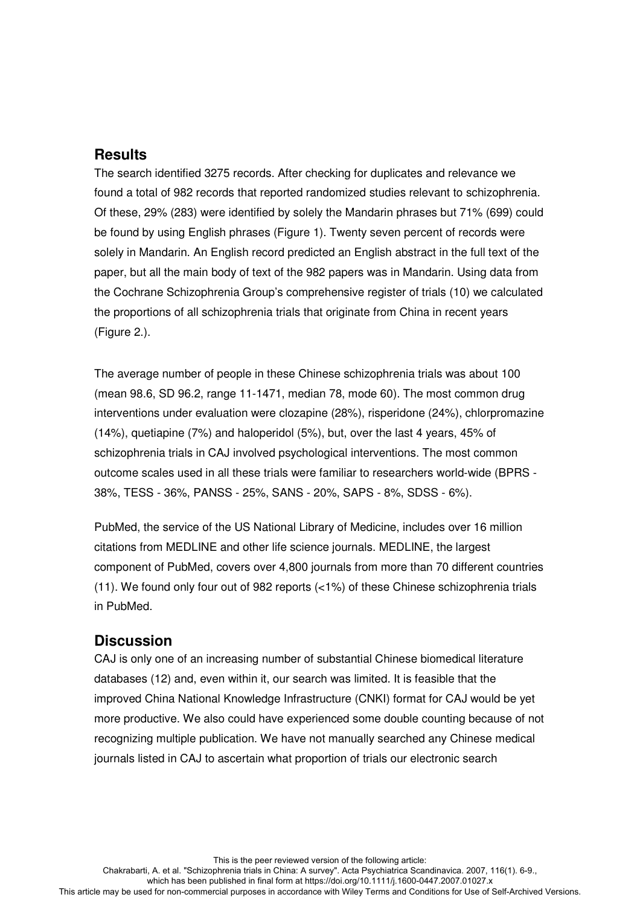### **Results**

The search identified 3275 records. After checking for duplicates and relevance we found a total of 982 records that reported randomized studies relevant to schizophrenia. Of these, 29% (283) were identified by solely the Mandarin phrases but 71% (699) could be found by using English phrases (Figure 1). Twenty seven percent of records were solely in Mandarin. An English record predicted an English abstract in the full text of the paper, but all the main body of text of the 982 papers was in Mandarin. Using data from the Cochrane Schizophrenia Group's comprehensive register of trials (10) we calculated the proportions of all schizophrenia trials that originate from China in recent years (Figure 2.).

The average number of people in these Chinese schizophrenia trials was about 100 (mean 98.6, SD 96.2, range 11-1471, median 78, mode 60). The most common drug interventions under evaluation were clozapine (28%), risperidone (24%), chlorpromazine (14%), quetiapine (7%) and haloperidol (5%), but, over the last 4 years, 45% of schizophrenia trials in CAJ involved psychological interventions. The most common outcome scales used in all these trials were familiar to researchers world-wide (BPRS - 38%, TESS - 36%, PANSS - 25%, SANS - 20%, SAPS - 8%, SDSS - 6%).

PubMed, the service of the US National Library of Medicine, includes over 16 million citations from MEDLINE and other life science journals. MEDLINE, the largest component of PubMed, covers over 4,800 journals from more than 70 different countries (11). We found only four out of 982 reports (<1%) of these Chinese schizophrenia trials in PubMed.

### **Discussion**

CAJ is only one of an increasing number of substantial Chinese biomedical literature databases (12) and, even within it, our search was limited. It is feasible that the improved China National Knowledge Infrastructure (CNKI) format for CAJ would be yet more productive. We also could have experienced some double counting because of not recognizing multiple publication. We have not manually searched any Chinese medical journals listed in CAJ to ascertain what proportion of trials our electronic search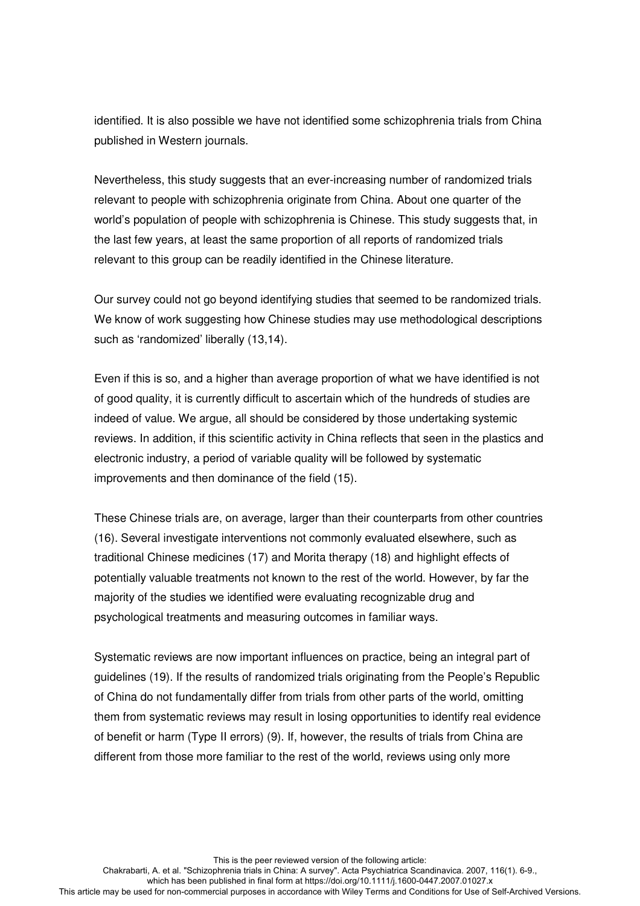identified. It is also possible we have not identified some schizophrenia trials from China published in Western journals.

Nevertheless, this study suggests that an ever-increasing number of randomized trials relevant to people with schizophrenia originate from China. About one quarter of the world's population of people with schizophrenia is Chinese. This study suggests that, in the last few years, at least the same proportion of all reports of randomized trials relevant to this group can be readily identified in the Chinese literature.

Our survey could not go beyond identifying studies that seemed to be randomized trials. We know of work suggesting how Chinese studies may use methodological descriptions such as 'randomized' liberally (13,14).

Even if this is so, and a higher than average proportion of what we have identified is not of good quality, it is currently difficult to ascertain which of the hundreds of studies are indeed of value. We argue, all should be considered by those undertaking systemic reviews. In addition, if this scientific activity in China reflects that seen in the plastics and electronic industry, a period of variable quality will be followed by systematic improvements and then dominance of the field (15).

These Chinese trials are, on average, larger than their counterparts from other countries (16). Several investigate interventions not commonly evaluated elsewhere, such as traditional Chinese medicines (17) and Morita therapy (18) and highlight effects of potentially valuable treatments not known to the rest of the world. However, by far the majority of the studies we identified were evaluating recognizable drug and psychological treatments and measuring outcomes in familiar ways.

Systematic reviews are now important influences on practice, being an integral part of guidelines (19). If the results of randomized trials originating from the People's Republic of China do not fundamentally differ from trials from other parts of the world, omitting them from systematic reviews may result in losing opportunities to identify real evidence of benefit or harm (Type II errors) (9). If, however, the results of trials from China are different from those more familiar to the rest of the world, reviews using only more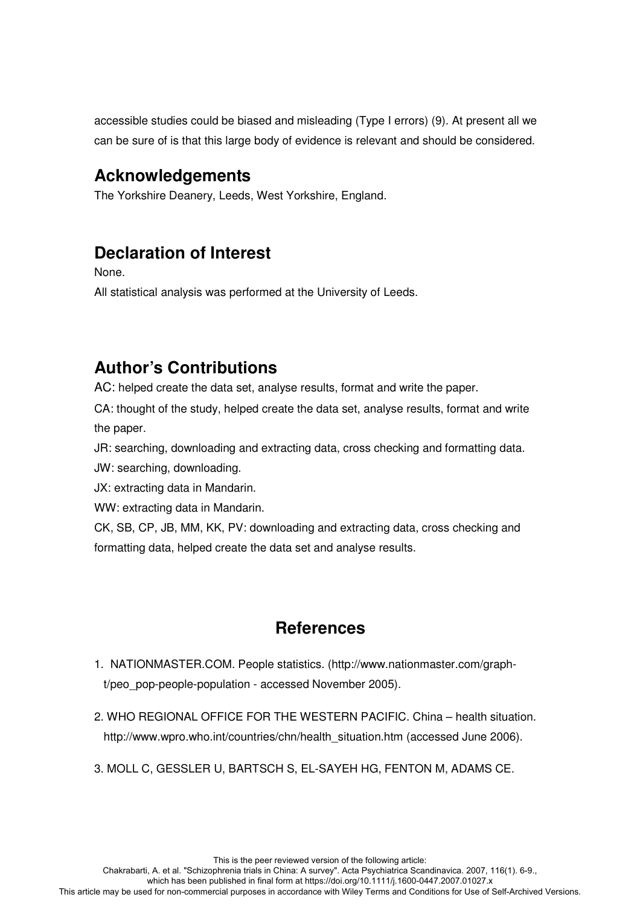accessible studies could be biased and misleading (Type I errors) (9). At present all we can be sure of is that this large body of evidence is relevant and should be considered.

# **Acknowledgements**

The Yorkshire Deanery, Leeds, West Yorkshire, England.

# **Declaration of Interest**

None.

All statistical analysis was performed at the University of Leeds.

# **Author's Contributions**

AC: helped create the data set, analyse results, format and write the paper.

CA: thought of the study, helped create the data set, analyse results, format and write the paper.

JR: searching, downloading and extracting data, cross checking and formatting data.

JW: searching, downloading.

JX: extracting data in Mandarin.

WW: extracting data in Mandarin.

CK, SB, CP, JB, MM, KK, PV: downloading and extracting data, cross checking and formatting data, helped create the data set and analyse results.

# **References**

- 1. NATIONMASTER.COM. People statistics. (http://www.nationmaster.com/grapht/peo\_pop-people-population - accessed November 2005).
- 2. WHO REGIONAL OFFICE FOR THE WESTERN PACIFIC. China health situation. http://www.wpro.who.int/countries/chn/health\_situation.htm (accessed June 2006).
- 3. MOLL C, GESSLER U, BARTSCH S, EL-SAYEH HG, FENTON M, ADAMS CE.

which has been published in final form at https://doi.org/10.1111/j.1600-0447.2007.01027.x This article may be used for non-commercial purposes in accordance with Wiley Terms and Conditions for Use of Self-Archived Versions.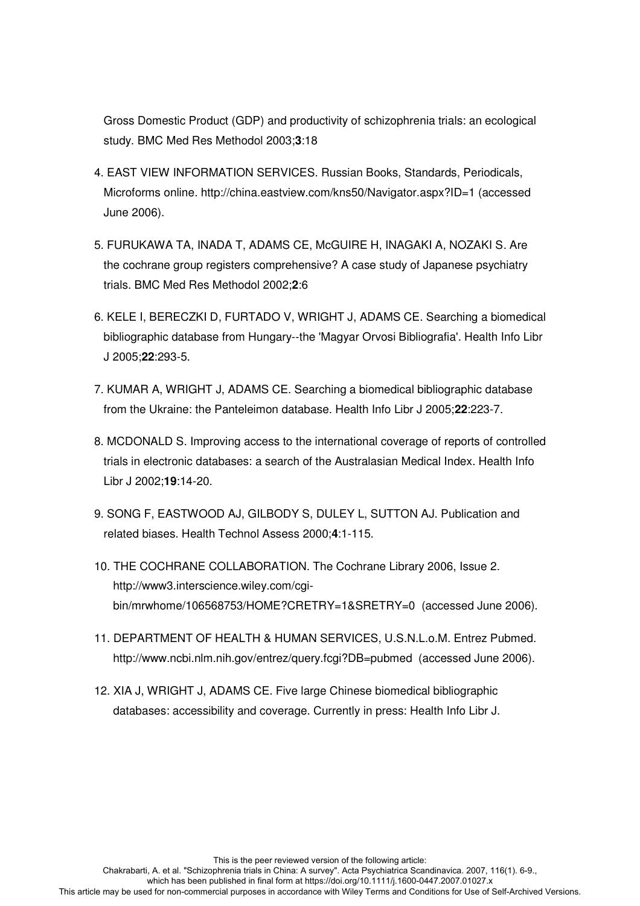Gross Domestic Product (GDP) and productivity of schizophrenia trials: an ecological study. BMC Med Res Methodol 2003;**3**:18

- 4. EAST VIEW INFORMATION SERVICES. Russian Books, Standards, Periodicals, Microforms online. http://china.eastview.com/kns50/Navigator.aspx?ID=1 (accessed June 2006).
- 5. FURUKAWA TA, INADA T, ADAMS CE, McGUIRE H, INAGAKI A, NOZAKI S*.* Are the cochrane group registers comprehensive? A case study of Japanese psychiatry trials. BMC Med Res Methodol 2002;**2**:6
- 6. KELE I, BERECZKI D, FURTADO V, WRIGHT J, ADAMS CE. Searching a biomedical bibliographic database from Hungary--the 'Magyar Orvosi Bibliografia'. Health Info Libr J 2005;**22**:293-5.
- 7. KUMAR A, WRIGHT J, ADAMS CE. Searching a biomedical bibliographic database from the Ukraine: the Panteleimon database. Health Info Libr J 2005;**22**:223-7.
- 8. MCDONALD S. Improving access to the international coverage of reports of controlled trials in electronic databases: a search of the Australasian Medical Index. Health Info Libr J 2002;**19**:14-20.
- 9. SONG F, EASTWOOD AJ, GILBODY S, DULEY L, SUTTON AJ. Publication and related biases. Health Technol Assess 2000;**4**:1-115.
- 10. THE COCHRANE COLLABORATION. The Cochrane Library 2006, Issue 2. http://www3.interscience.wiley.com/cgibin/mrwhome/106568753/HOME?CRETRY=1&SRETRY=0 (accessed June 2006).
- 11. DEPARTMENT OF HEALTH & HUMAN SERVICES, U.S.N.L.o.M. Entrez Pubmed. http://www.ncbi.nlm.nih.gov/entrez/query.fcgi?DB=pubmed (accessed June 2006).
- 12. XIA J, WRIGHT J, ADAMS CE. Five large Chinese biomedical bibliographic databases: accessibility and coverage. Currently in press: Health Info Libr J.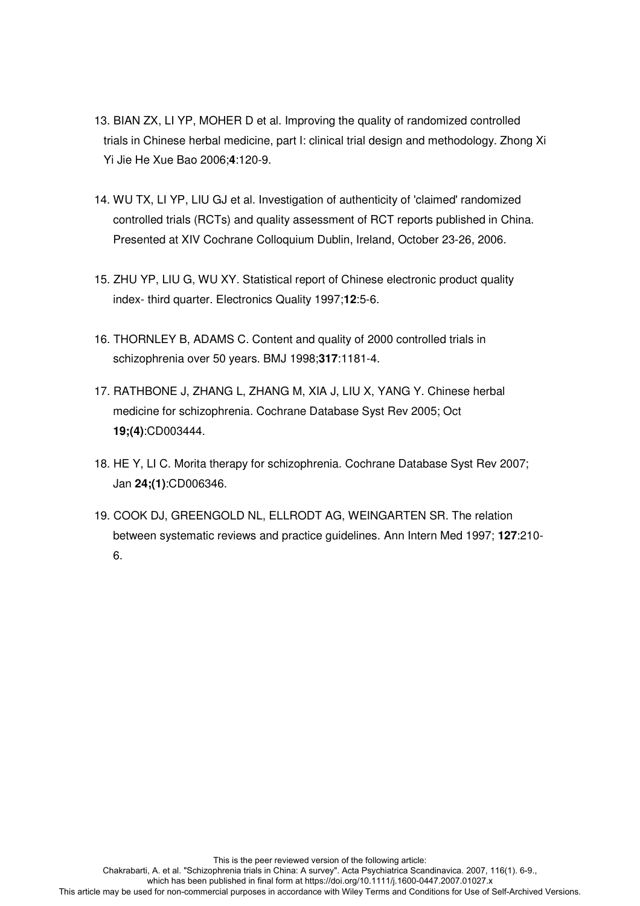- 13. BIAN ZX, LI YP, MOHER D et al. Improving the quality of randomized controlled trials in Chinese herbal medicine, part I: clinical trial design and methodology. Zhong Xi Yi Jie He Xue Bao 2006;**4**:120-9.
- 14. WU TX, LI YP, LIU GJ et al. Investigation of authenticity of 'claimed' randomized controlled trials (RCTs) and quality assessment of RCT reports published in China. Presented at XIV Cochrane Colloquium Dublin, Ireland, October 23-26, 2006.
- 15. ZHU YP, LIU G, WU XY. Statistical report of Chinese electronic product quality index- third quarter. Electronics Quality 1997;**12**:5-6.
- 16. THORNLEY B, ADAMS C. Content and quality of 2000 controlled trials in schizophrenia over 50 years. BMJ 1998;**317**:1181-4.
- 17. RATHBONE J, ZHANG L, ZHANG M, XIA J, LIU X, YANG Y. Chinese herbal medicine for schizophrenia. Cochrane Database Syst Rev 2005; Oct **19;(4)**:CD003444.
- 18. HE Y, LI C. Morita therapy for schizophrenia. Cochrane Database Syst Rev 2007; Jan **24;(1)**:CD006346.
- 19. COOK DJ, GREENGOLD NL, ELLRODT AG, WEINGARTEN SR. The relation between systematic reviews and practice guidelines. Ann Intern Med 1997; **127**:210- 6.